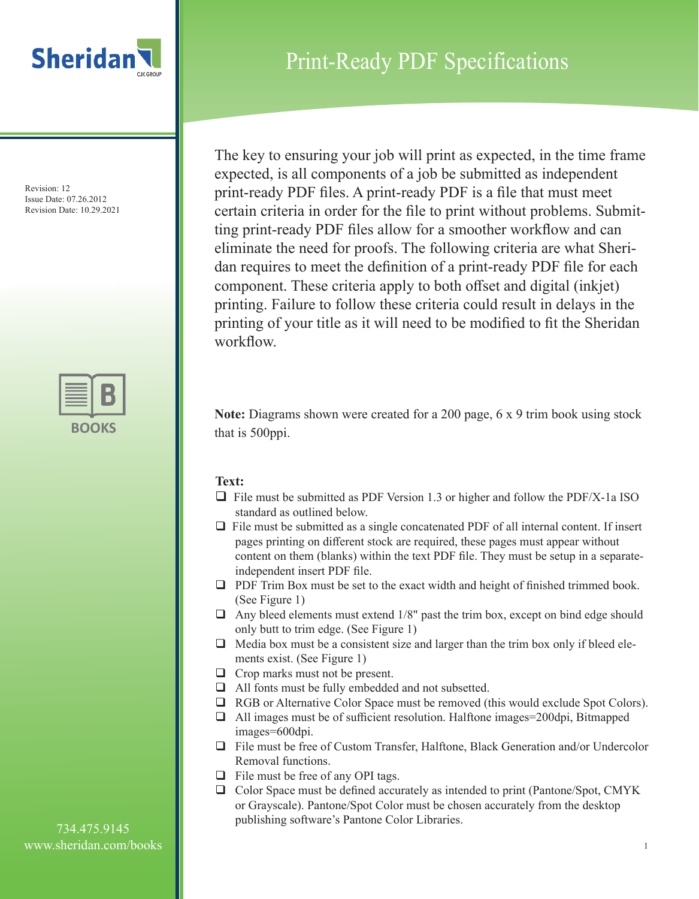

## Print-Ready PDF Specifications

The key to ensuring your job will print as expected, in the time frame expected, is all components of a job be submitted as independent print-ready PDF files. A print-ready PDF is a file that must meet certain criteria in order for the file to print without problems. Submitting print-ready PDF files allow for a smoother workflow and can eliminate the need for proofs. The following criteria are what Sheridan requires to meet the definition of a print-ready PDF file for each component. These criteria apply to both offset and digital (inkjet) printing. Failure to follow these criteria could result in delays in the printing of your title as it will need to be modified to fit the Sheridan workflow.

**Note:** Diagrams shown were created for a 200 page, 6 x 9 trim book using stock that is 500ppi.

### **Text:**

- $\Box$  File must be submitted as PDF Version 1.3 or higher and follow the PDF/X-1a ISO standard as outlined below.
- $\Box$  File must be submitted as a single concatenated PDF of all internal content. If insert pages printing on different stock are required, these pages must appear without content on them (blanks) within the text PDF file. They must be setup in a separateindependent insert PDF file.
- $\Box$  PDF Trim Box must be set to the exact width and height of finished trimmed book. (See Figure 1)
- $\Box$  Any bleed elements must extend 1/8" past the trim box, except on bind edge should only butt to trim edge. (See Figure 1)
- $\Box$  Media box must be a consistent size and larger than the trim box only if bleed elements exist. (See Figure 1)
- $\Box$  Crop marks must not be present.
- $\Box$  All fonts must be fully embedded and not subsetted.
- $\Box$  RGB or Alternative Color Space must be removed (this would exclude Spot Colors).
- $\Box$  All images must be of sufficient resolution. Halftone images=200dpi, Bitmapped images=600dpi.
- $\Box$  File must be free of Custom Transfer, Halftone, Black Generation and/or Undercolor Removal functions.
- $\Box$  File must be free of any OPI tags.
- $\Box$  Color Space must be defined accurately as intended to print (Pantone/Spot, CMYK) or Grayscale). Pantone/Spot Color must be chosen accurately from the desktop publishing software's Pantone Color Libraries.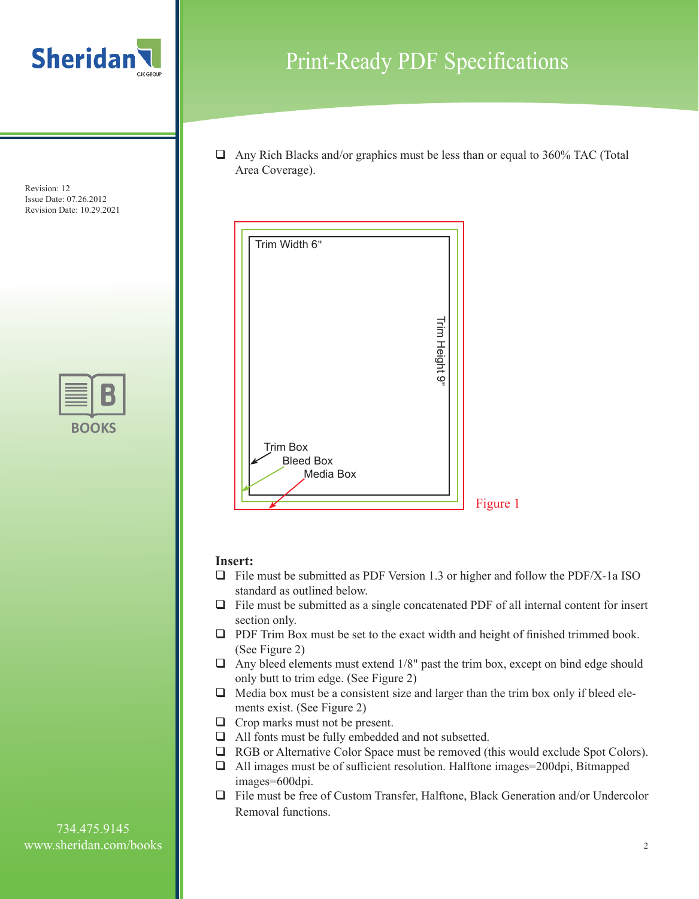



## Print-Ready PDF Specifications

 $\Box$  Any Rich Blacks and/or graphics must be less than or equal to 360% TAC (Total Area Coverage).



#### **Insert:**

- $\Box$  File must be submitted as PDF Version 1.3 or higher and follow the PDF/X-1a ISO standard as outlined below.
- $\Box$  File must be submitted as a single concatenated PDF of all internal content for insert section only.
- $\Box$  PDF Trim Box must be set to the exact width and height of finished trimmed book. (See Figure 2)
- $\Box$  Any bleed elements must extend 1/8" past the trim box, except on bind edge should only butt to trim edge. (See Figure 2)
- $\Box$  Media box must be a consistent size and larger than the trim box only if bleed elements exist. (See Figure 2)
- $\Box$  Crop marks must not be present.
- $\Box$  All fonts must be fully embedded and not subsetted.
- $\Box$  RGB or Alternative Color Space must be removed (this would exclude Spot Colors).
- $\Box$  All images must be of sufficient resolution. Halftone images=200dpi, Bitmapped images=600dpi.
- $\Box$  File must be free of Custom Transfer, Halftone, Black Generation and/or Undercolor Removal functions.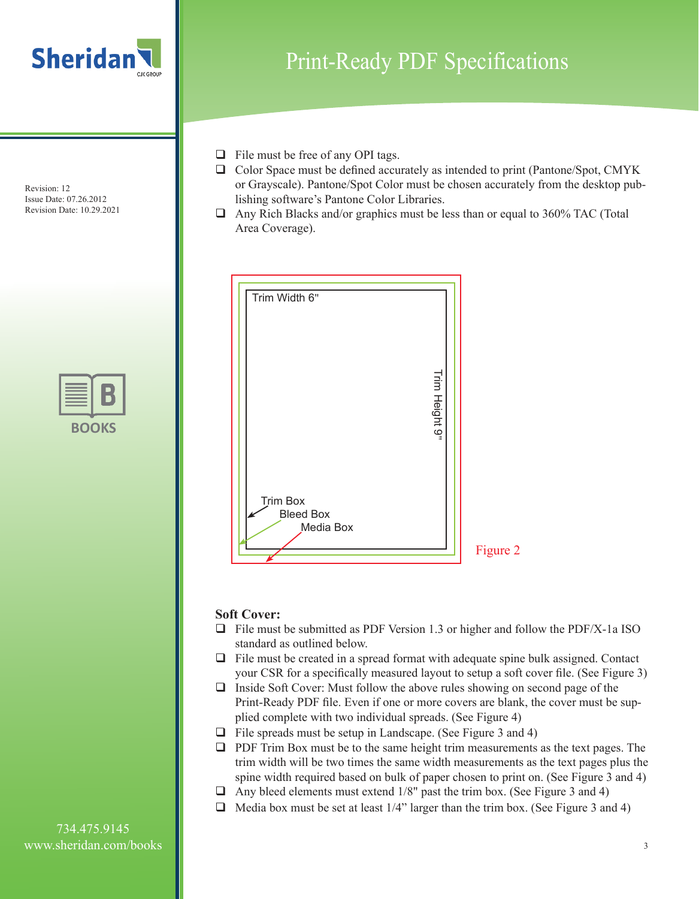



# Print-Ready PDF Specifications

- $\Box$  File must be free of any OPI tags.
- $\Box$  Color Space must be defined accurately as intended to print (Pantone/Spot, CMYK) or Grayscale). Pantone/Spot Color must be chosen accurately from the desktop publishing software's Pantone Color Libraries.
- $\Box$  Any Rich Blacks and/or graphics must be less than or equal to 360% TAC (Total Area Coverage).



#### **Soft Cover:**

- $\Box$  File must be submitted as PDF Version 1.3 or higher and follow the PDF/X-1a ISO standard as outlined below.
- $\Box$  File must be created in a spread format with adequate spine bulk assigned. Contact your CSR for a specifically measured layout to setup a soft cover file. (See Figure 3)
- $\Box$  Inside Soft Cover: Must follow the above rules showing on second page of the Print-Ready PDF file. Even if one or more covers are blank, the cover must be supplied complete with two individual spreads. (See Figure 4)
- $\Box$  File spreads must be setup in Landscape. (See Figure 3 and 4)
- $\Box$  PDF Trim Box must be to the same height trim measurements as the text pages. The trim width will be two times the same width measurements as the text pages plus the spine width required based on bulk of paper chosen to print on. (See Figure 3 and 4)
- $\Box$  Any bleed elements must extend 1/8" past the trim box. (See Figure 3 and 4)
- $\Box$  Media box must be set at least 1/4" larger than the trim box. (See Figure 3 and 4)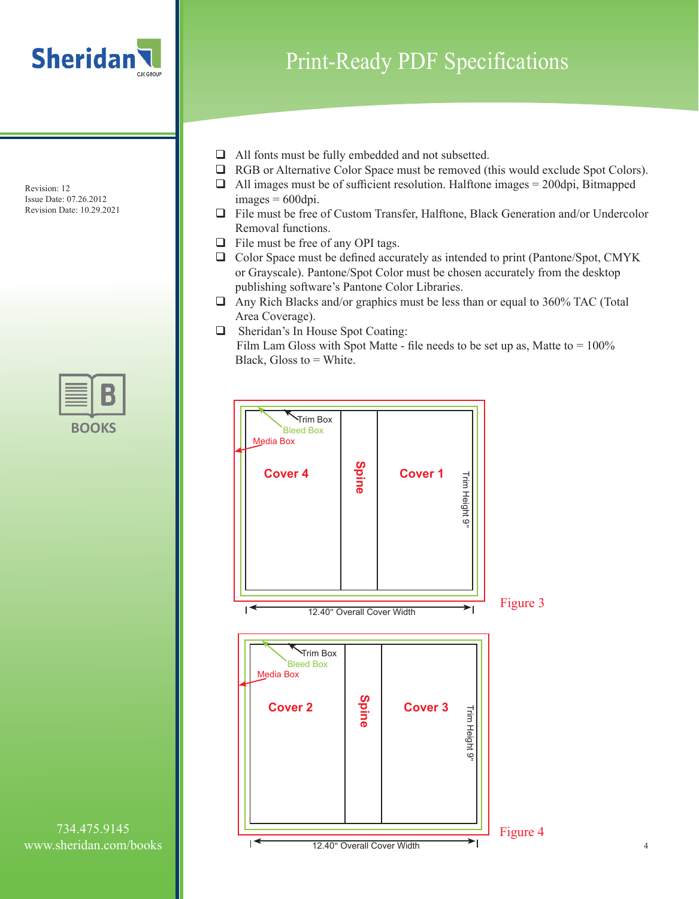



Print-Ready PDF Specifications

- $\Box$  All fonts must be fully embedded and not subsetted.
- $\Box$  RGB or Alternative Color Space must be removed (this would exclude Spot Colors).
- $\Box$  All images must be of sufficient resolution. Halftone images = 200dpi, Bitmapped  $images = 600$ dpi.
- $\Box$  File must be free of Custom Transfer, Halftone, Black Generation and/or Undercolor Removal functions.
- $\Box$  File must be free of any OPI tags.
- □ Color Space must be defined accurately as intended to print (Pantone/Spot, CMYK or Grayscale). Pantone/Spot Color must be chosen accurately from the desktop publishing software's Pantone Color Libraries.
- $\Box$  Any Rich Blacks and/or graphics must be less than or equal to 360% TAC (Total Area Coverage).
- **Q** Sheridan's In House Spot Coating: Film Lam Gloss with Spot Matte - file needs to be set up as, Matte to  $= 100\%$ Black, Gloss to  $=$  White.

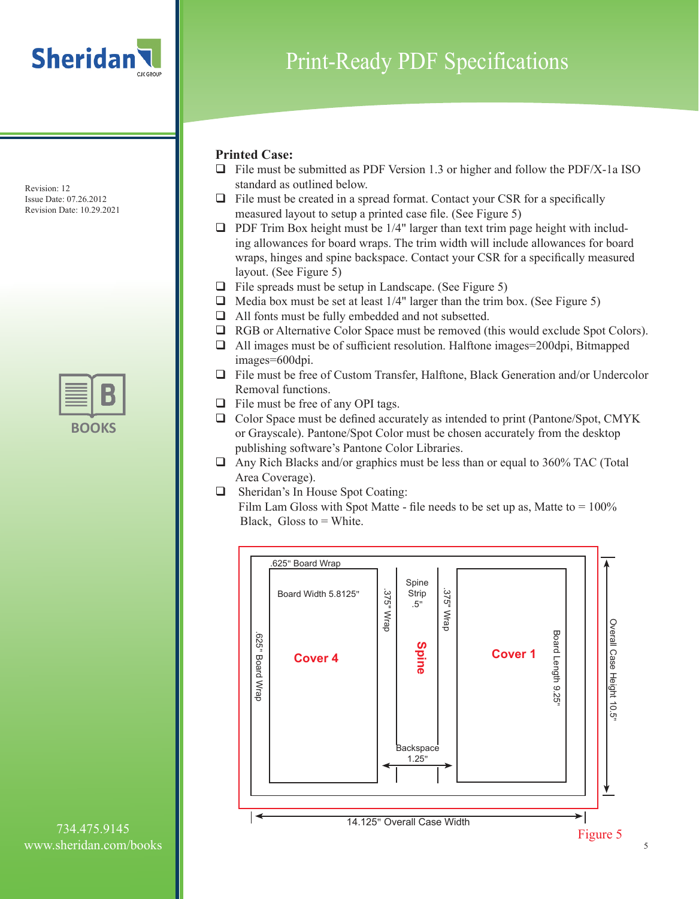

# Print-Ready PDF Specifications

### **Printed Case:**

- $\Box$  File must be submitted as PDF Version 1.3 or higher and follow the PDF/X-1a ISO standard as outlined below.
- $\Box$  File must be created in a spread format. Contact your CSR for a specifically measured layout to setup a printed case file. (See Figure 5)
- $\Box$  PDF Trim Box height must be 1/4" larger than text trim page height with including allowances for board wraps. The trim width will include allowances for board wraps, hinges and spine backspace. Contact your CSR for a specifically measured layout. (See Figure 5)
- $\Box$  File spreads must be setup in Landscape. (See Figure 5)
- $\Box$  Media box must be set at least 1/4" larger than the trim box. (See Figure 5)
- $\Box$  All fonts must be fully embedded and not subsetted.
- $\Box$  RGB or Alternative Color Space must be removed (this would exclude Spot Colors).
- $\Box$  All images must be of sufficient resolution. Halftone images=200dpi, Bitmapped images=600dpi.
- $\Box$  File must be free of Custom Transfer, Halftone, Black Generation and/or Undercolor Removal functions.
- $\Box$  File must be free of any OPI tags.
- $\Box$  Color Space must be defined accurately as intended to print (Pantone/Spot, CMYK) or Grayscale). Pantone/Spot Color must be chosen accurately from the desktop publishing software's Pantone Color Libraries.
- $\Box$  Any Rich Blacks and/or graphics must be less than or equal to 360% TAC (Total Area Coverage).
- $\Box$  Sheridan's In House Spot Coating: Film Lam Gloss with Spot Matte - file needs to be set up as, Matte to  $= 100\%$ Black, Gloss to  $=$  White.

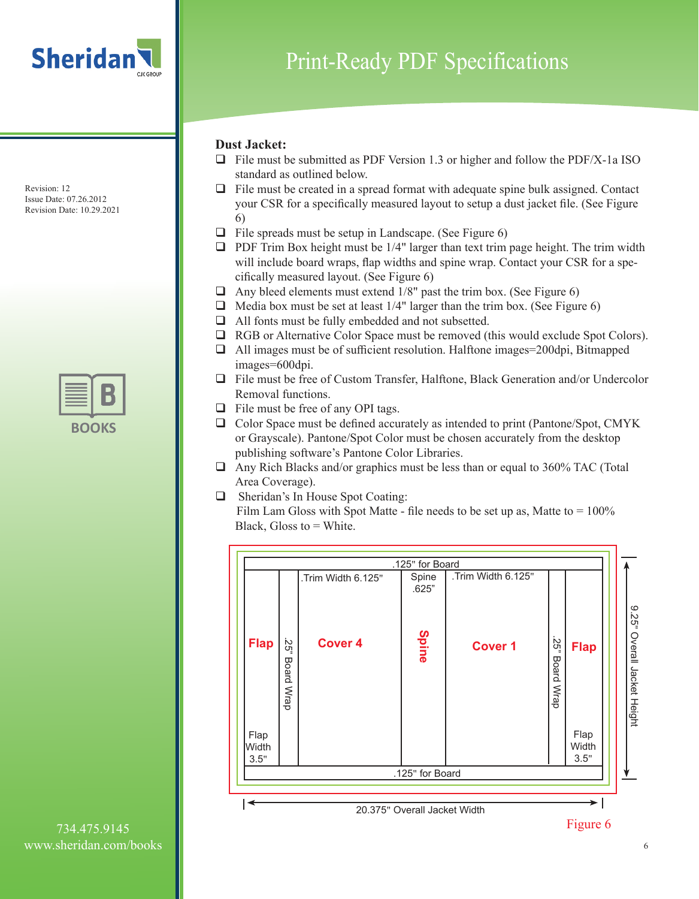

#### **Dust Jacket:**

- $\Box$  File must be submitted as PDF Version 1.3 or higher and follow the PDF/X-1a ISO standard as outlined below.
- $\Box$  File must be created in a spread format with adequate spine bulk assigned. Contact your CSR for a specifically measured layout to setup a dust jacket file. (See Figure 6)
- $\Box$  File spreads must be setup in Landscape. (See Figure 6)
- $\Box$  PDF Trim Box height must be 1/4" larger than text trim page height. The trim width will include board wraps, flap widths and spine wrap. Contact your CSR for a specifically measured layout. (See Figure 6)
- $\Box$  Any bleed elements must extend 1/8" past the trim box. (See Figure 6)
- $\Box$  Media box must be set at least 1/4" larger than the trim box. (See Figure 6)
- $\Box$  All fonts must be fully embedded and not subsetted.
- $\Box$  RGB or Alternative Color Space must be removed (this would exclude Spot Colors).
- $\Box$  All images must be of sufficient resolution. Halftone images=200dpi, Bitmapped images=600dpi.
- $\Box$  File must be free of Custom Transfer, Halftone, Black Generation and/or Undercolor Removal functions.
- $\Box$  File must be free of any OPI tags.
- $\Box$  Color Space must be defined accurately as intended to print (Pantone/Spot, CMYK) or Grayscale). Pantone/Spot Color must be chosen accurately from the desktop publishing software's Pantone Color Libraries.
- $\Box$  Any Rich Blacks and/or graphics must be less than or equal to 360% TAC (Total Area Coverage).
- $\Box$  Sheridan's In House Spot Coating: Film Lam Gloss with Spot Matte - file needs to be set up as, Matte to  $= 100\%$ Black, Gloss to  $=$  White.

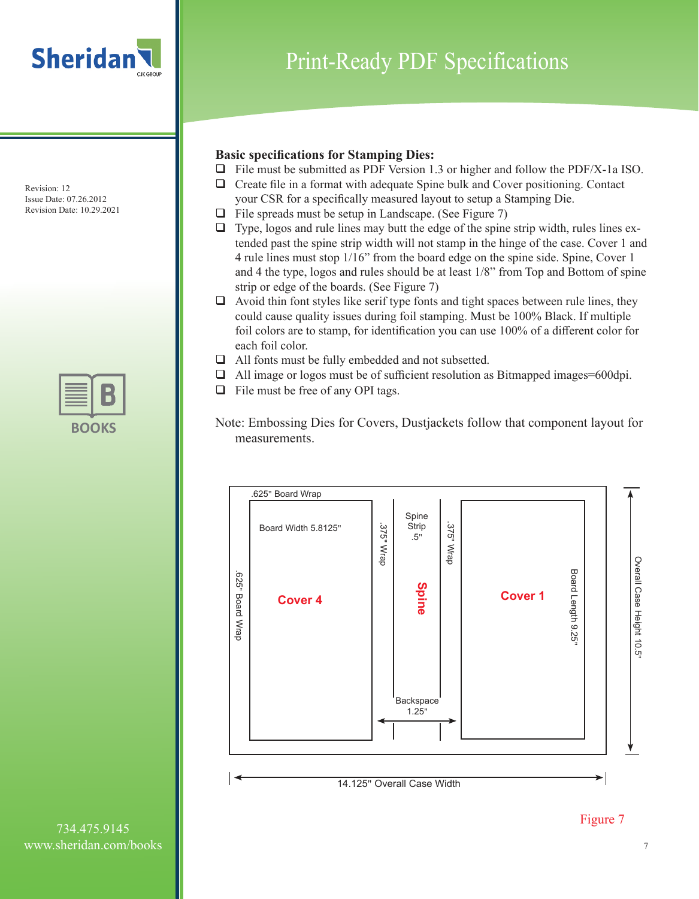



Print-Ready PDF Specifications

#### **Basic specifications for Stamping Dies:**

- $\Box$  File must be submitted as PDF Version 1.3 or higher and follow the PDF/X-1a ISO.
- $\Box$  Create file in a format with adequate Spine bulk and Cover positioning. Contact your CSR for a specifically measured layout to setup a Stamping Die.
- $\Box$  File spreads must be setup in Landscape. (See Figure 7)
- $\Box$  Type, logos and rule lines may butt the edge of the spine strip width, rules lines extended past the spine strip width will not stamp in the hinge of the case. Cover 1 and 4 rule lines must stop 1/16" from the board edge on the spine side. Spine, Cover 1 and 4 the type, logos and rules should be at least 1/8" from Top and Bottom of spine strip or edge of the boards. (See Figure 7)
- $\Box$  Avoid thin font styles like serif type fonts and tight spaces between rule lines, they could cause quality issues during foil stamping. Must be 100% Black. If multiple foil colors are to stamp, for identification you can use 100% of a different color for each foil color.
- $\Box$  All fonts must be fully embedded and not subsetted.
- $\Box$  All image or logos must be of sufficient resolution as Bitmapped images=600dpi.
- $\Box$  File must be free of any OPI tags.





734.475.9145 www.sheridan.com/books

7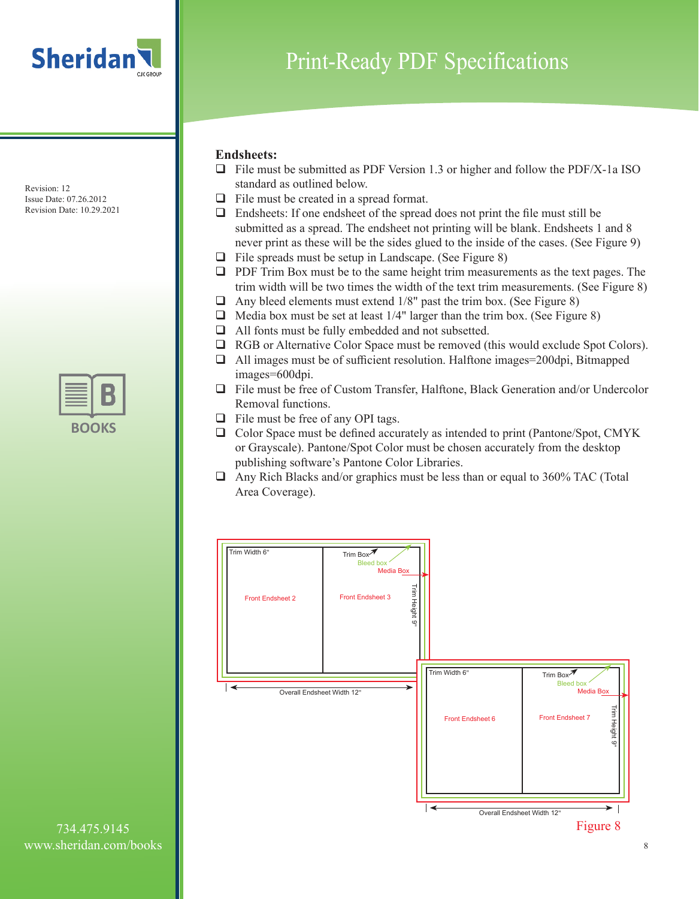

# Print-Ready PDF Specifications

#### **Endsheets:**

- $\Box$  File must be submitted as PDF Version 1.3 or higher and follow the PDF/X-1a ISO standard as outlined below.
- $\Box$  File must be created in a spread format.
- $\Box$  Endsheets: If one endsheet of the spread does not print the file must still be submitted as a spread. The endsheet not printing will be blank. Endsheets 1 and 8 never print as these will be the sides glued to the inside of the cases. (See Figure 9)
- $\Box$  File spreads must be setup in Landscape. (See Figure 8)
- $\Box$  PDF Trim Box must be to the same height trim measurements as the text pages. The trim width will be two times the width of the text trim measurements. (See Figure 8)
- $\Box$  Any bleed elements must extend 1/8" past the trim box. (See Figure 8)
- $\Box$  Media box must be set at least 1/4" larger than the trim box. (See Figure 8)
- $\Box$  All fonts must be fully embedded and not subsetted.
- $\Box$  RGB or Alternative Color Space must be removed (this would exclude Spot Colors).
- $\Box$  All images must be of sufficient resolution. Halftone images=200dpi, Bitmapped images=600dpi.
- $\Box$  File must be free of Custom Transfer, Halftone, Black Generation and/or Undercolor Removal functions.
- $\Box$  File must be free of any OPI tags.
- $\Box$  Color Space must be defined accurately as intended to print (Pantone/Spot, CMYK) or Grayscale). Pantone/Spot Color must be chosen accurately from the desktop publishing software's Pantone Color Libraries.
- $\Box$  Any Rich Blacks and/or graphics must be less than or equal to 360% TAC (Total Area Coverage).